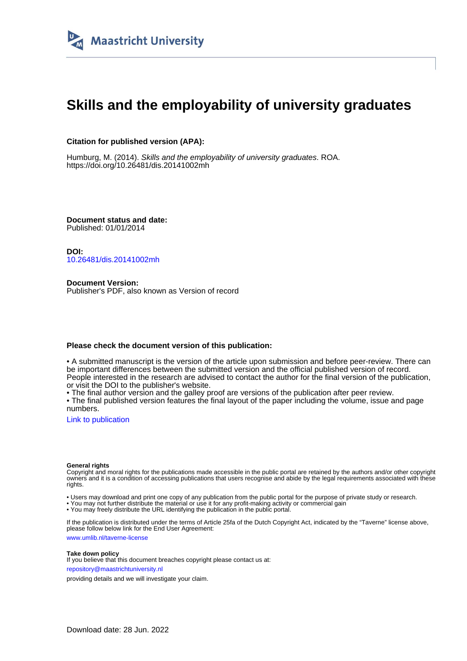

# **Skills and the employability of university graduates**

### **Citation for published version (APA):**

Humburg, M. (2014). Skills and the employability of university graduates. ROA. <https://doi.org/10.26481/dis.20141002mh>

**Document status and date:** Published: 01/01/2014

**DOI:** [10.26481/dis.20141002mh](https://doi.org/10.26481/dis.20141002mh)

**Document Version:** Publisher's PDF, also known as Version of record

### **Please check the document version of this publication:**

• A submitted manuscript is the version of the article upon submission and before peer-review. There can be important differences between the submitted version and the official published version of record. People interested in the research are advised to contact the author for the final version of the publication, or visit the DOI to the publisher's website.

• The final author version and the galley proof are versions of the publication after peer review.

• The final published version features the final layout of the paper including the volume, issue and page numbers.

[Link to publication](https://cris.maastrichtuniversity.nl/en/publications/22c43a06-864a-449f-965e-b3d63c8f63f7)

#### **General rights**

Copyright and moral rights for the publications made accessible in the public portal are retained by the authors and/or other copyright owners and it is a condition of accessing publications that users recognise and abide by the legal requirements associated with these rights.

• Users may download and print one copy of any publication from the public portal for the purpose of private study or research.

• You may not further distribute the material or use it for any profit-making activity or commercial gain

• You may freely distribute the URL identifying the publication in the public portal.

If the publication is distributed under the terms of Article 25fa of the Dutch Copyright Act, indicated by the "Taverne" license above, please follow below link for the End User Agreement:

www.umlib.nl/taverne-license

#### **Take down policy**

If you believe that this document breaches copyright please contact us at: repository@maastrichtuniversity.nl

providing details and we will investigate your claim.